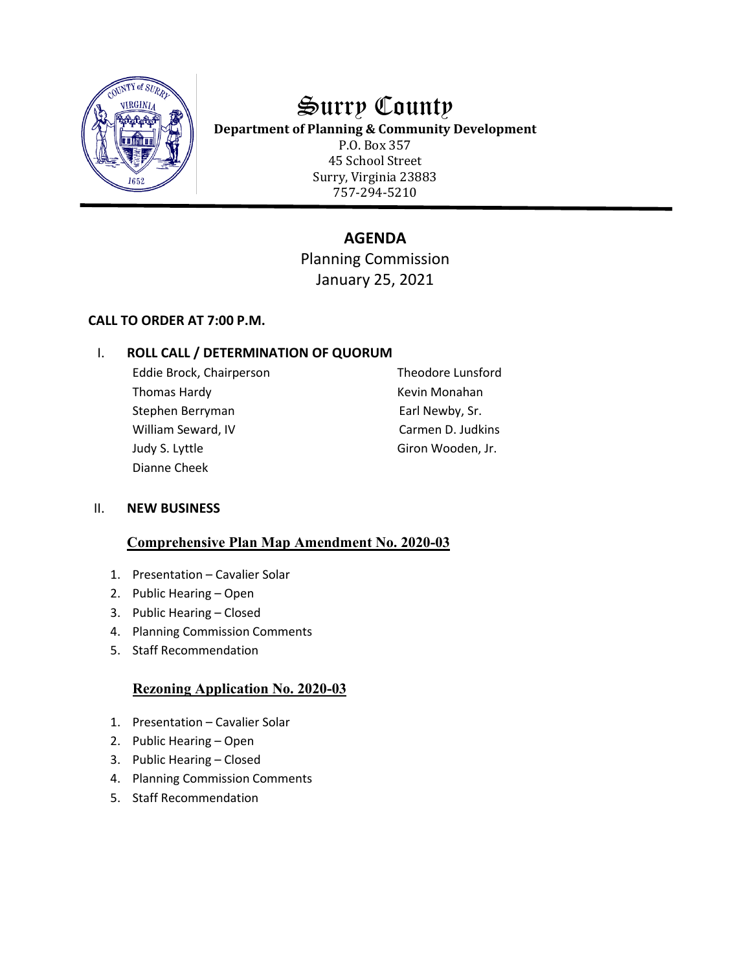

# Surry County

**Department of Planning & Community Development**

P.O. Box 357 45 School Street Surry, Virginia 23883 757-294-5210

# **AGENDA**

Planning Commission January 25, 2021

## **CALL TO ORDER AT 7:00 P.M.**

## I. **ROLL CALL / DETERMINATION OF QUORUM**

Eddie Brock, Chairperson Theodore Lunsford Thomas Hardy **Kevin Monahan** Stephen Berryman **Earl Newby**, Sr. William Seward, IV Carmen D. Judkins Judy S. Lyttle Giron Wooden, Jr. Dianne Cheek

## II. **NEW BUSINESS**

## **Comprehensive Plan Map Amendment No. 2020-03**

- 1. Presentation Cavalier Solar
- 2. Public Hearing Open
- 3. Public Hearing Closed
- 4. Planning Commission Comments
- 5. Staff Recommendation

## **Rezoning Application No. 2020-03**

- 1. Presentation Cavalier Solar
- 2. Public Hearing Open
- 3. Public Hearing Closed
- 4. Planning Commission Comments
- 5. Staff Recommendation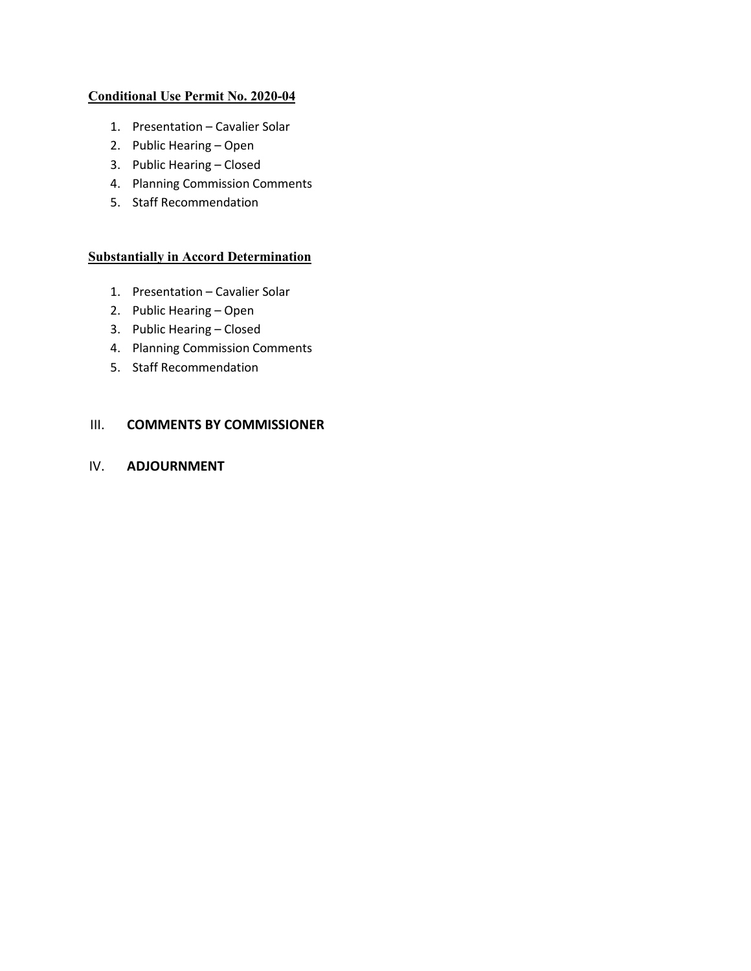#### **Conditional Use Permit No. 2020-04**

- 1. Presentation Cavalier Solar
- 2. Public Hearing Open
- 3. Public Hearing Closed
- 4. Planning Commission Comments
- 5. Staff Recommendation

#### **Substantially in Accord Determination**

- 1. Presentation Cavalier Solar
- 2. Public Hearing Open
- 3. Public Hearing Closed
- 4. Planning Commission Comments
- 5. Staff Recommendation

#### III. **COMMENTS BY COMMISSIONER**

## IV. **ADJOURNMENT**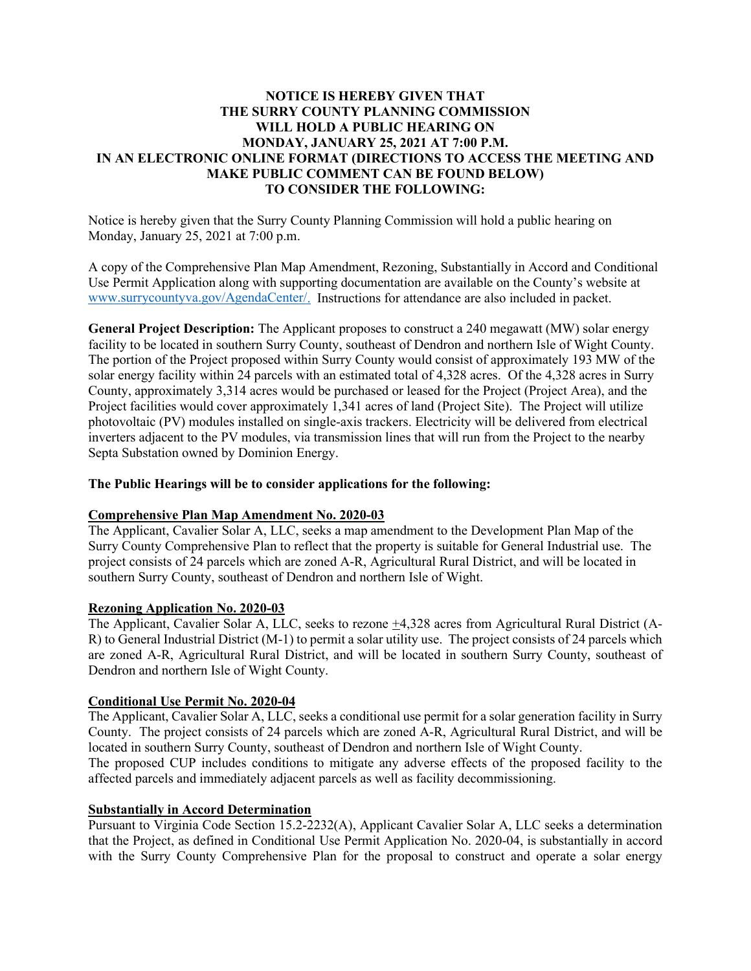#### **NOTICE IS HEREBY GIVEN THAT THE SURRY COUNTY PLANNING COMMISSION WILL HOLD A PUBLIC HEARING ON MONDAY, JANUARY 25, 2021 AT 7:00 P.M. IN AN ELECTRONIC ONLINE FORMAT (DIRECTIONS TO ACCESS THE MEETING AND MAKE PUBLIC COMMENT CAN BE FOUND BELOW) TO CONSIDER THE FOLLOWING:**

Notice is hereby given that the Surry County Planning Commission will hold a public hearing on Monday, January 25, 2021 at 7:00 p.m.

A copy of the Comprehensive Plan Map Amendment, Rezoning, Substantially in Accord and Conditional Use Permit Application along with supporting documentation are available on the County's website at [www.surrycountyva.gov/AgendaCenter/.](http://www.surrycountyva.gov/AgendaCenter/) Instructions for attendance are also included in packet.

**General Project Description:** The Applicant proposes to construct a 240 megawatt (MW) solar energy facility to be located in southern Surry County, southeast of Dendron and northern Isle of Wight County. The portion of the Project proposed within Surry County would consist of approximately 193 MW of the solar energy facility within 24 parcels with an estimated total of 4,328 acres. Of the 4,328 acres in Surry County, approximately 3,314 acres would be purchased or leased for the Project (Project Area), and the Project facilities would cover approximately 1,341 acres of land (Project Site). The Project will utilize photovoltaic (PV) modules installed on single-axis trackers. Electricity will be delivered from electrical inverters adjacent to the PV modules, via transmission lines that will run from the Project to the nearby Septa Substation owned by Dominion Energy.

#### **The Public Hearings will be to consider applications for the following:**

#### **Comprehensive Plan Map Amendment No. 2020-03**

The Applicant, Cavalier Solar A, LLC, seeks a map amendment to the Development Plan Map of the Surry County Comprehensive Plan to reflect that the property is suitable for General Industrial use. The project consists of 24 parcels which are zoned A-R, Agricultural Rural District, and will be located in southern Surry County, southeast of Dendron and northern Isle of Wight.

#### **Rezoning Application No. 2020-03**

The Applicant, Cavalier Solar A, LLC, seeks to rezone  $\pm 4,328$  acres from Agricultural Rural District (A-R) to General Industrial District (M-1) to permit a solar utility use. The project consists of 24 parcels which are zoned A-R, Agricultural Rural District, and will be located in southern Surry County, southeast of Dendron and northern Isle of Wight County.

#### **Conditional Use Permit No. 2020-04**

The Applicant, Cavalier Solar A, LLC, seeks a conditional use permit for a solar generation facility in Surry County. The project consists of 24 parcels which are zoned A-R, Agricultural Rural District, and will be located in southern Surry County, southeast of Dendron and northern Isle of Wight County.

The proposed CUP includes conditions to mitigate any adverse effects of the proposed facility to the affected parcels and immediately adjacent parcels as well as facility decommissioning.

#### **Substantially in Accord Determination**

Pursuant to Virginia Code Section 15.2-2232(A), Applicant Cavalier Solar A, LLC seeks a determination that the Project, as defined in Conditional Use Permit Application No. 2020-04, is substantially in accord with the Surry County Comprehensive Plan for the proposal to construct and operate a solar energy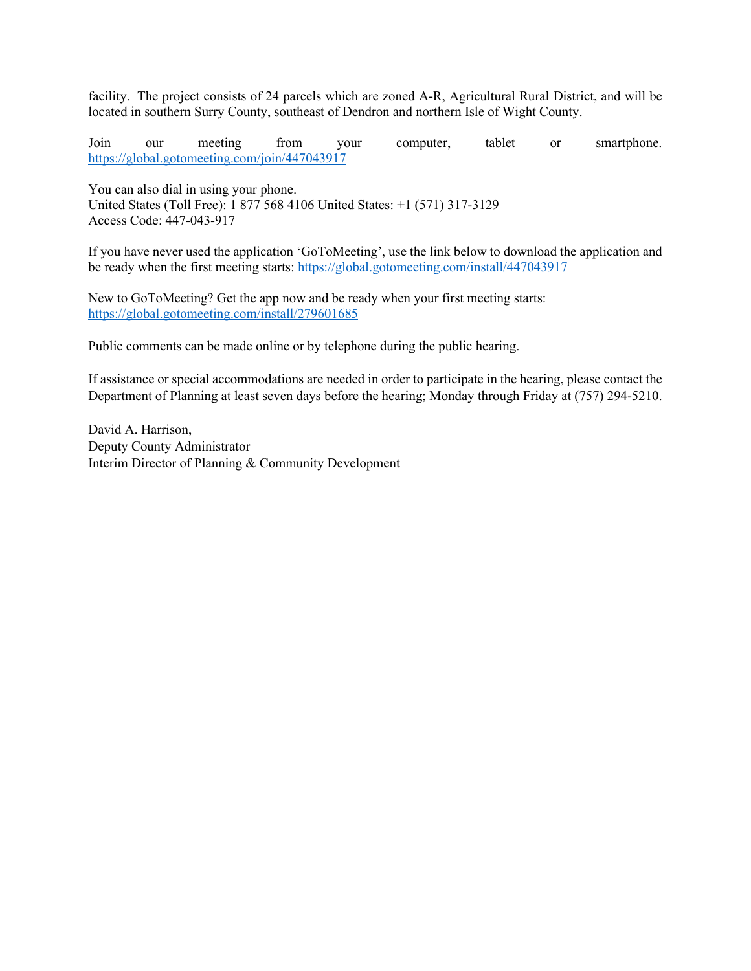facility. The project consists of 24 parcels which are zoned A-R, Agricultural Rural District, and will be located in southern Surry County, southeast of Dendron and northern Isle of Wight County.

Join our meeting from your computer, tablet or smartphone. <https://global.gotomeeting.com/join/447043917>

You can also dial in using your phone. United States (Toll Free): 1 877 568 4106 United States: +1 (571) 317-3129 Access Code: 447-043-917

If you have never used the application 'GoToMeeting', use the link below to download the application and be ready when the first meeting starts:<https://global.gotomeeting.com/install/447043917>

New to GoToMeeting? Get the app now and be ready when your first meeting starts: <https://global.gotomeeting.com/install/279601685>

Public comments can be made online or by telephone during the public hearing.

If assistance or special accommodations are needed in order to participate in the hearing, please contact the Department of Planning at least seven days before the hearing; Monday through Friday at (757) 294-5210.

David A. Harrison, Deputy County Administrator Interim Director of Planning & Community Development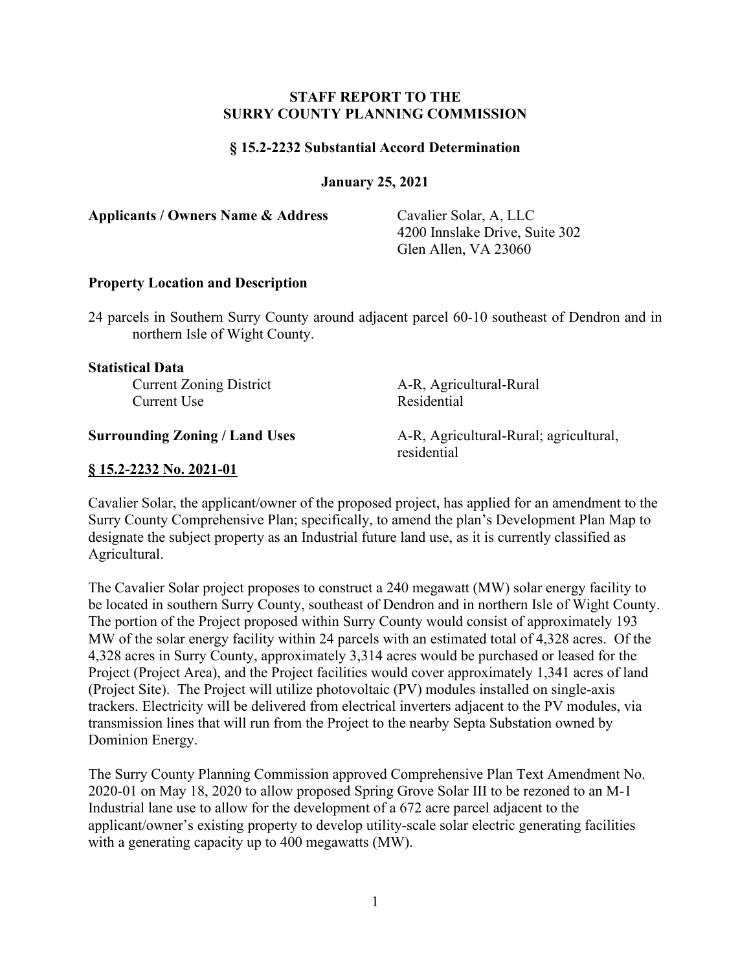#### **STAFF REPORT TO THE SURRY COUNTY PLANNING COMMISSION**

#### **§ 15.2-2232 Substantial Accord Determination**

**January 25, 2021**

**Applicants / Owners Name & Address** Cavalier Solar, A, LLC

4200 Innslake Drive, Suite 302 Glen Allen, VA 23060

#### **Property Location and Description**

24 parcels in Southern Surry County around adjacent parcel 60-10 southeast of Dendron and in northern Isle of Wight County.

#### **Statistical Data**

Current Use

Current Zoning District A-R, Agricultural-Rural<br>Current Use Residential

**Surrounding Zoning / Land Uses** A-R, Agricultural-Rural; agricultural, residential

#### **§ 15.2-2232 No. 2021-01**

Cavalier Solar, the applicant/owner of the proposed project, has applied for an amendment to the Surry County Comprehensive Plan; specifically, to amend the plan's Development Plan Map to designate the subject property as an Industrial future land use, as it is currently classified as Agricultural.

The Cavalier Solar project proposes to construct a 240 megawatt (MW) solar energy facility to be located in southern Surry County, southeast of Dendron and in northern Isle of Wight County. The portion of the Project proposed within Surry County would consist of approximately 193 MW of the solar energy facility within 24 parcels with an estimated total of 4,328 acres. Of the 4,328 acres in Surry County, approximately 3,314 acres would be purchased or leased for the Project (Project Area), and the Project facilities would cover approximately 1,341 acres of land (Project Site). The Project will utilize photovoltaic (PV) modules installed on single-axis trackers. Electricity will be delivered from electrical inverters adjacent to the PV modules, via transmission lines that will run from the Project to the nearby Septa Substation owned by Dominion Energy.

The Surry County Planning Commission approved Comprehensive Plan Text Amendment No. 2020-01 on May 18, 2020 to allow proposed Spring Grove Solar III to be rezoned to an M-1 Industrial lane use to allow for the development of a 672 acre parcel adjacent to the applicant/owner's existing property to develop utility-scale solar electric generating facilities with a generating capacity up to 400 megawatts (MW).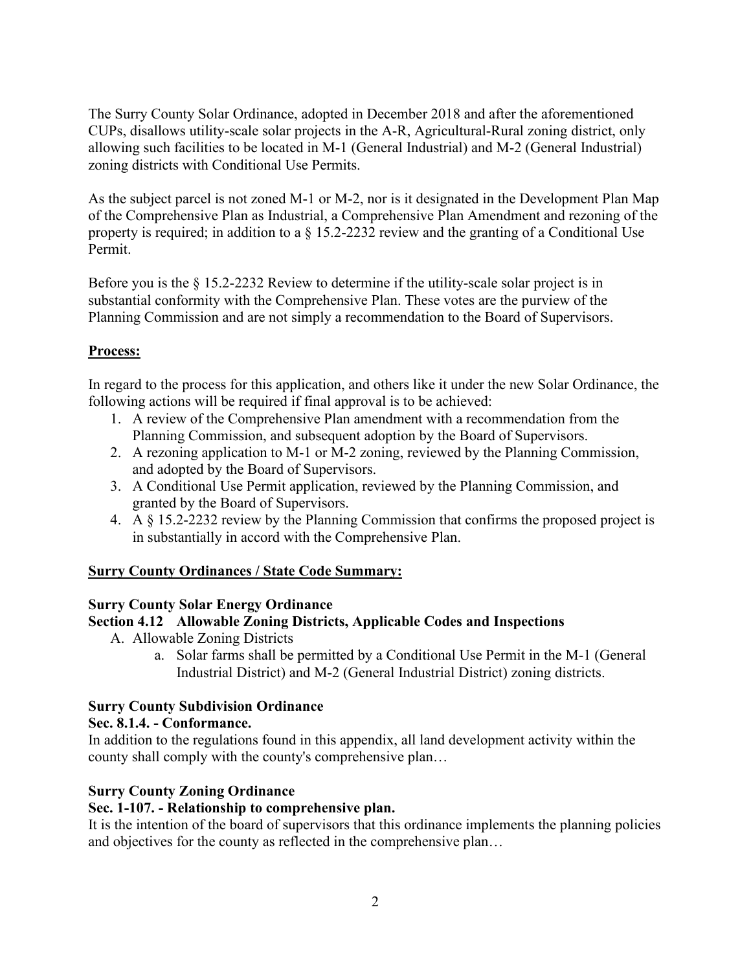The Surry County Solar Ordinance, adopted in December 2018 and after the aforementioned CUPs, disallows utility-scale solar projects in the A-R, Agricultural-Rural zoning district, only allowing such facilities to be located in M-1 (General Industrial) and M-2 (General Industrial) zoning districts with Conditional Use Permits.

As the subject parcel is not zoned M-1 or M-2, nor is it designated in the Development Plan Map of the Comprehensive Plan as Industrial, a Comprehensive Plan Amendment and rezoning of the property is required; in addition to a § 15.2-2232 review and the granting of a Conditional Use Permit.

Before you is the § 15.2-2232 Review to determine if the utility-scale solar project is in substantial conformity with the Comprehensive Plan. These votes are the purview of the Planning Commission and are not simply a recommendation to the Board of Supervisors.

## **Process:**

In regard to the process for this application, and others like it under the new Solar Ordinance, the following actions will be required if final approval is to be achieved:

- 1. A review of the Comprehensive Plan amendment with a recommendation from the Planning Commission, and subsequent adoption by the Board of Supervisors.
- 2. A rezoning application to M-1 or M-2 zoning, reviewed by the Planning Commission, and adopted by the Board of Supervisors.
- 3. A Conditional Use Permit application, reviewed by the Planning Commission, and granted by the Board of Supervisors.
- 4. A § 15.2-2232 review by the Planning Commission that confirms the proposed project is in substantially in accord with the Comprehensive Plan.

## **Surry County Ordinances / State Code Summary:**

## **Surry County Solar Energy Ordinance**

## **Section 4.12 Allowable Zoning Districts, Applicable Codes and Inspections**

- A. Allowable Zoning Districts
	- a. Solar farms shall be permitted by a Conditional Use Permit in the M-1 (General Industrial District) and M-2 (General Industrial District) zoning districts.

## **Surry County Subdivision Ordinance**

## **Sec. 8.1.4. - Conformance.**

In addition to the regulations found in this appendix, all land development activity within the county shall comply with the county's comprehensive plan…

## **Surry County Zoning Ordinance**

## **Sec. 1-107. - Relationship to comprehensive plan.**

It is the intention of the board of supervisors that this ordinance implements the planning policies and objectives for the county as reflected in the comprehensive plan…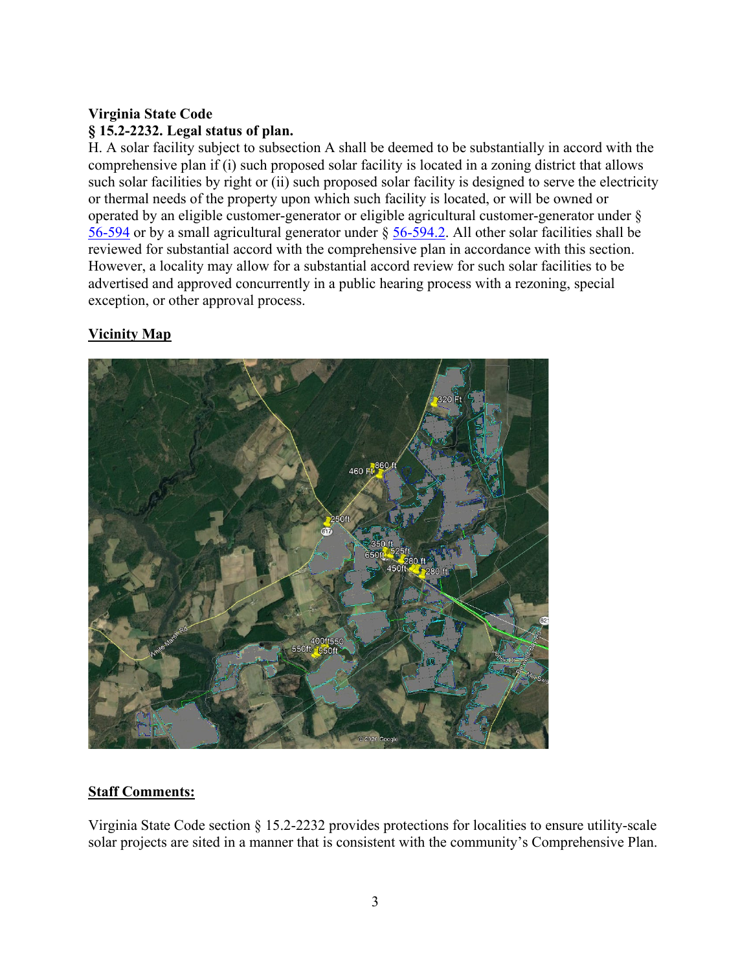# **Virginia State Code § 15.2-2232. Legal status of plan.**

H. A solar facility subject to subsection A shall be deemed to be substantially in accord with the comprehensive plan if (i) such proposed solar facility is located in a zoning district that allows such solar facilities by right or (ii) such proposed solar facility is designed to serve the electricity or thermal needs of the property upon which such facility is located, or will be owned or operated by an eligible customer-generator or eligible agricultural customer-generator under § [56-594](https://law.lis.virginia.gov/vacode/56-594/) or by a small agricultural generator under § [56-594.2.](https://law.lis.virginia.gov/vacode/56-594.2/) All other solar facilities shall be reviewed for substantial accord with the comprehensive plan in accordance with this section. However, a locality may allow for a substantial accord review for such solar facilities to be advertised and approved concurrently in a public hearing process with a rezoning, special exception, or other approval process.

# **Vicinity Map**



## **Staff Comments:**

Virginia State Code section § 15.2-2232 provides protections for localities to ensure utility-scale solar projects are sited in a manner that is consistent with the community's Comprehensive Plan.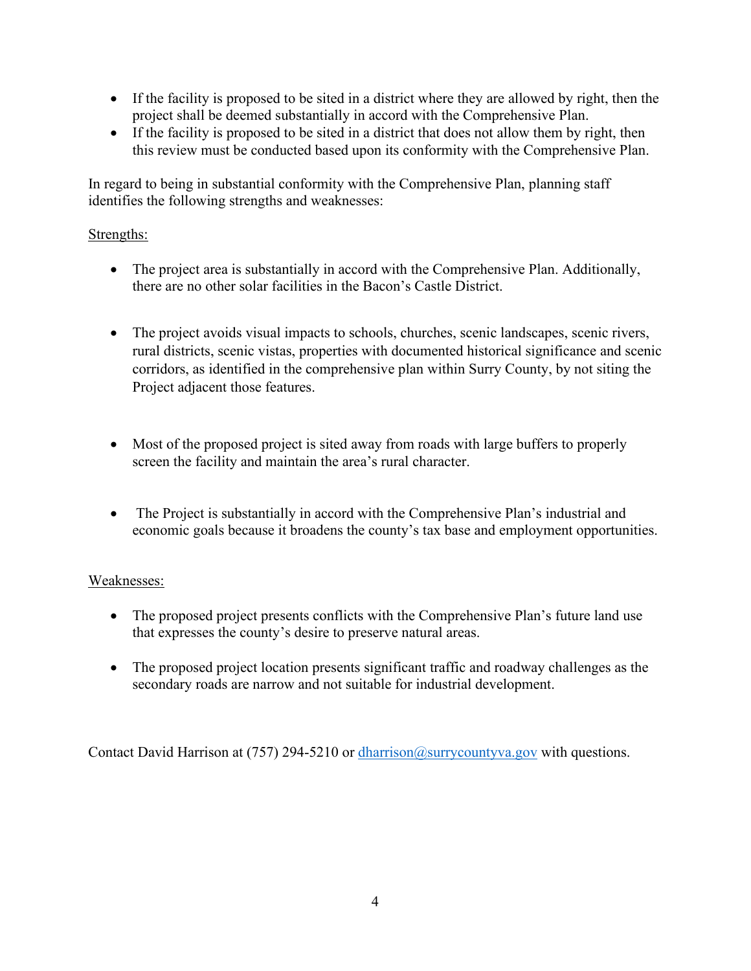- If the facility is proposed to be sited in a district where they are allowed by right, then the project shall be deemed substantially in accord with the Comprehensive Plan.
- If the facility is proposed to be sited in a district that does not allow them by right, then this review must be conducted based upon its conformity with the Comprehensive Plan.

In regard to being in substantial conformity with the Comprehensive Plan, planning staff identifies the following strengths and weaknesses:

## Strengths:

- The project area is substantially in accord with the Comprehensive Plan. Additionally, there are no other solar facilities in the Bacon's Castle District.
- The project avoids visual impacts to schools, churches, scenic landscapes, scenic rivers, rural districts, scenic vistas, properties with documented historical significance and scenic corridors, as identified in the comprehensive plan within Surry County, by not siting the Project adjacent those features.
- Most of the proposed project is sited away from roads with large buffers to properly screen the facility and maintain the area's rural character.
- The Project is substantially in accord with the Comprehensive Plan's industrial and economic goals because it broadens the county's tax base and employment opportunities.

## Weaknesses:

- The proposed project presents conflicts with the Comprehensive Plan's future land use that expresses the county's desire to preserve natural areas.
- The proposed project location presents significant traffic and roadway challenges as the secondary roads are narrow and not suitable for industrial development.

Contact David Harrison at (757) 294-5210 or [dharrison@surrycountyva.gov](mailto:dharrison@surrycountyva.gov) with questions.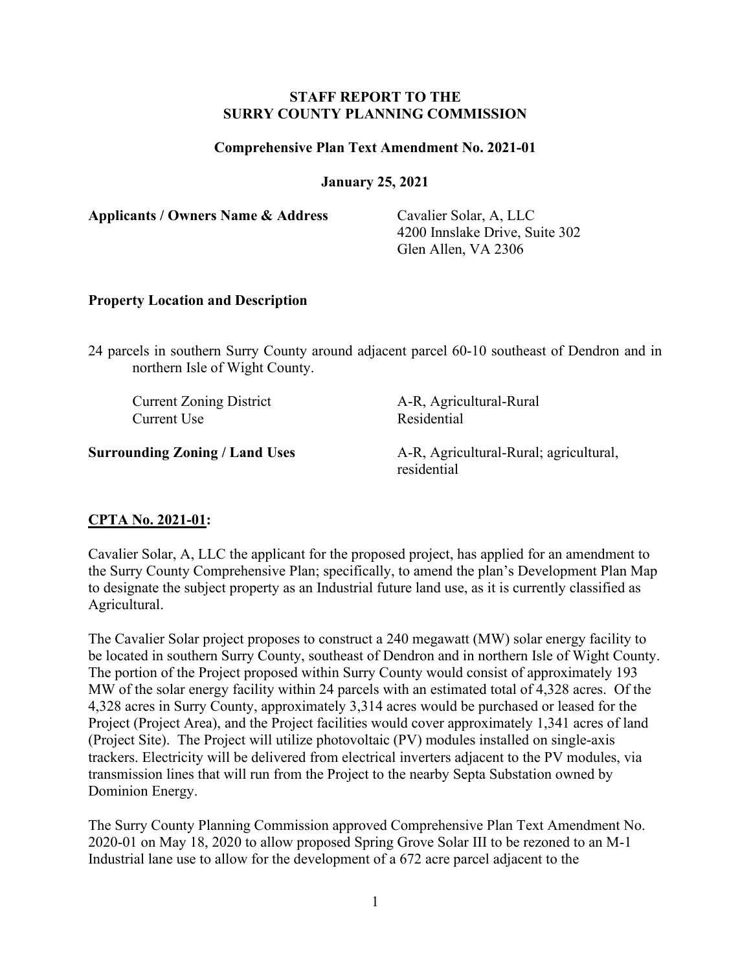#### **STAFF REPORT TO THE SURRY COUNTY PLANNING COMMISSION**

#### **Comprehensive Plan Text Amendment No. 2021-01**

#### **January 25, 2021**

**Applicants / Owners Name & Address** Cavalier Solar, A, LLC

4200 Innslake Drive, Suite 302 Glen Allen, VA 2306

#### **Property Location and Description**

24 parcels in southern Surry County around adjacent parcel 60-10 southeast of Dendron and in northern Isle of Wight County.

Current Use Residential

Current Zoning District A-R, Agricultural-Rural

**Surrounding Zoning / Land Uses** A-R, Agricultural-Rural; agricultural, residential

#### **CPTA No. 2021-01:**

Cavalier Solar, A, LLC the applicant for the proposed project, has applied for an amendment to the Surry County Comprehensive Plan; specifically, to amend the plan's Development Plan Map to designate the subject property as an Industrial future land use, as it is currently classified as Agricultural.

The Cavalier Solar project proposes to construct a 240 megawatt (MW) solar energy facility to be located in southern Surry County, southeast of Dendron and in northern Isle of Wight County. The portion of the Project proposed within Surry County would consist of approximately 193 MW of the solar energy facility within 24 parcels with an estimated total of 4,328 acres. Of the 4,328 acres in Surry County, approximately 3,314 acres would be purchased or leased for the Project (Project Area), and the Project facilities would cover approximately 1,341 acres of land (Project Site). The Project will utilize photovoltaic (PV) modules installed on single-axis trackers. Electricity will be delivered from electrical inverters adjacent to the PV modules, via transmission lines that will run from the Project to the nearby Septa Substation owned by Dominion Energy.

The Surry County Planning Commission approved Comprehensive Plan Text Amendment No. 2020-01 on May 18, 2020 to allow proposed Spring Grove Solar III to be rezoned to an M-1 Industrial lane use to allow for the development of a 672 acre parcel adjacent to the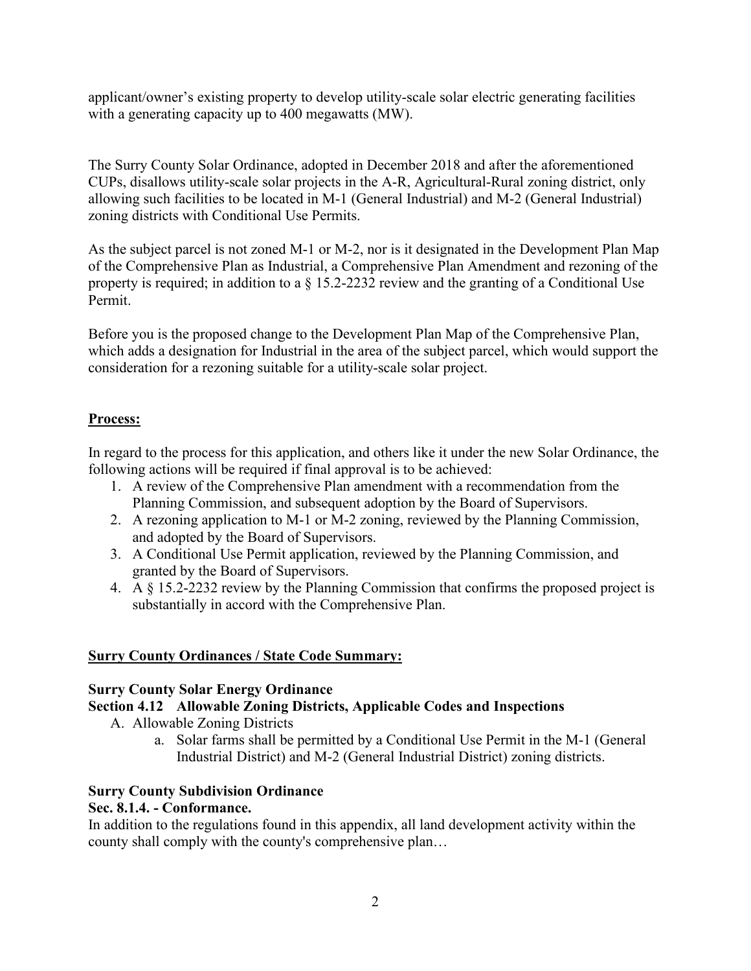applicant/owner's existing property to develop utility-scale solar electric generating facilities with a generating capacity up to 400 megawatts (MW).

The Surry County Solar Ordinance, adopted in December 2018 and after the aforementioned CUPs, disallows utility-scale solar projects in the A-R, Agricultural-Rural zoning district, only allowing such facilities to be located in M-1 (General Industrial) and M-2 (General Industrial) zoning districts with Conditional Use Permits.

As the subject parcel is not zoned M-1 or M-2, nor is it designated in the Development Plan Map of the Comprehensive Plan as Industrial, a Comprehensive Plan Amendment and rezoning of the property is required; in addition to a § 15.2-2232 review and the granting of a Conditional Use Permit.

Before you is the proposed change to the Development Plan Map of the Comprehensive Plan, which adds a designation for Industrial in the area of the subject parcel, which would support the consideration for a rezoning suitable for a utility-scale solar project.

## **Process:**

In regard to the process for this application, and others like it under the new Solar Ordinance, the following actions will be required if final approval is to be achieved:

- 1. A review of the Comprehensive Plan amendment with a recommendation from the Planning Commission, and subsequent adoption by the Board of Supervisors.
- 2. A rezoning application to M-1 or M-2 zoning, reviewed by the Planning Commission, and adopted by the Board of Supervisors.
- 3. A Conditional Use Permit application, reviewed by the Planning Commission, and granted by the Board of Supervisors.
- 4. A § 15.2-2232 review by the Planning Commission that confirms the proposed project is substantially in accord with the Comprehensive Plan.

## **Surry County Ordinances / State Code Summary:**

## **Surry County Solar Energy Ordinance**

## **Section 4.12 Allowable Zoning Districts, Applicable Codes and Inspections**

- A. Allowable Zoning Districts
	- a. Solar farms shall be permitted by a Conditional Use Permit in the M-1 (General Industrial District) and M-2 (General Industrial District) zoning districts.

## **Surry County Subdivision Ordinance**

## **Sec. 8.1.4. - Conformance.**

In addition to the regulations found in this appendix, all land development activity within the county shall comply with the county's comprehensive plan…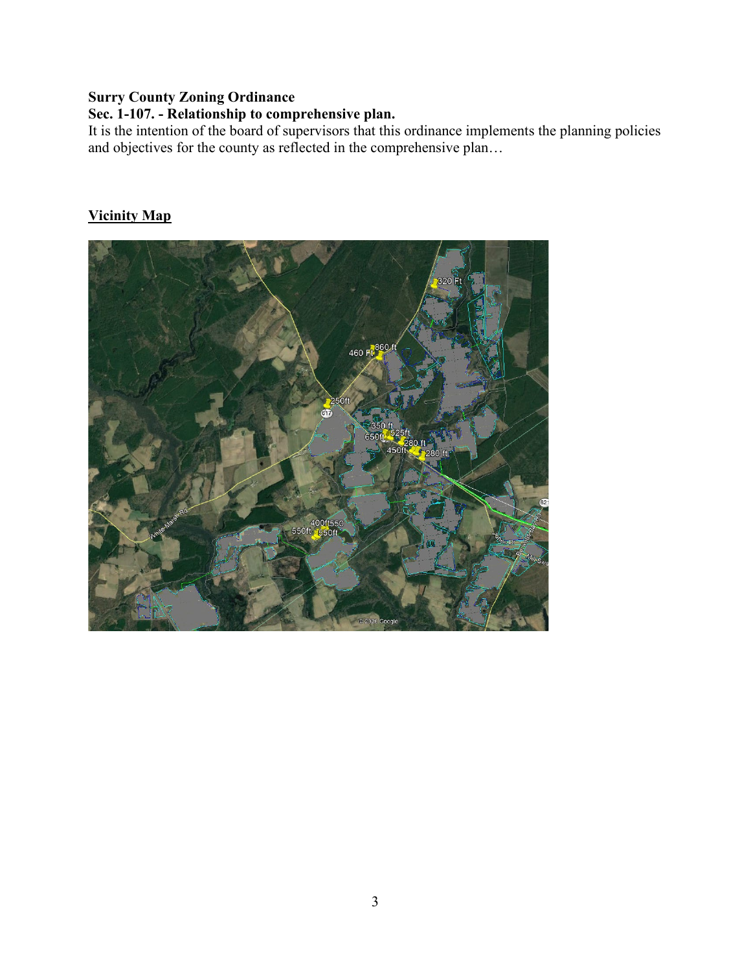## **Surry County Zoning Ordinance**

# **Sec. 1-107. - Relationship to comprehensive plan.**

It is the intention of the board of supervisors that this ordinance implements the planning policies and objectives for the county as reflected in the comprehensive plan…

## **Vicinity Map**

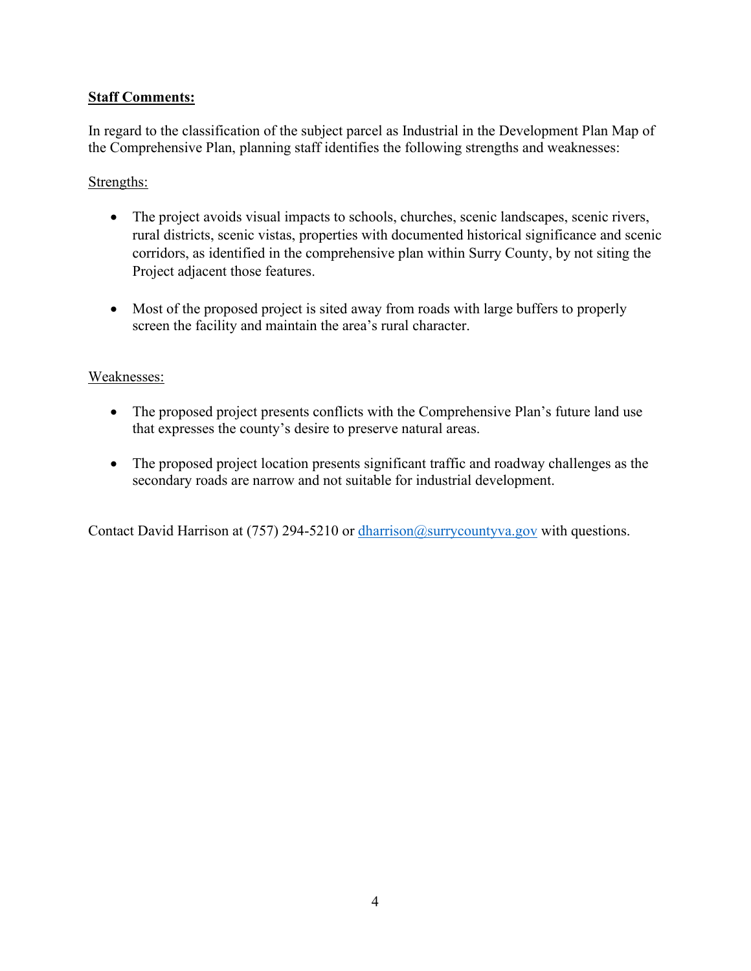## **Staff Comments:**

In regard to the classification of the subject parcel as Industrial in the Development Plan Map of the Comprehensive Plan, planning staff identifies the following strengths and weaknesses:

## Strengths:

- The project avoids visual impacts to schools, churches, scenic landscapes, scenic rivers, rural districts, scenic vistas, properties with documented historical significance and scenic corridors, as identified in the comprehensive plan within Surry County, by not siting the Project adjacent those features.
- Most of the proposed project is sited away from roads with large buffers to properly screen the facility and maintain the area's rural character.

## Weaknesses:

- The proposed project presents conflicts with the Comprehensive Plan's future land use that expresses the county's desire to preserve natural areas.
- The proposed project location presents significant traffic and roadway challenges as the secondary roads are narrow and not suitable for industrial development.

Contact David Harrison at (757) 294-5210 or  $\frac{d$ harrison@surrycountyva.gov with questions.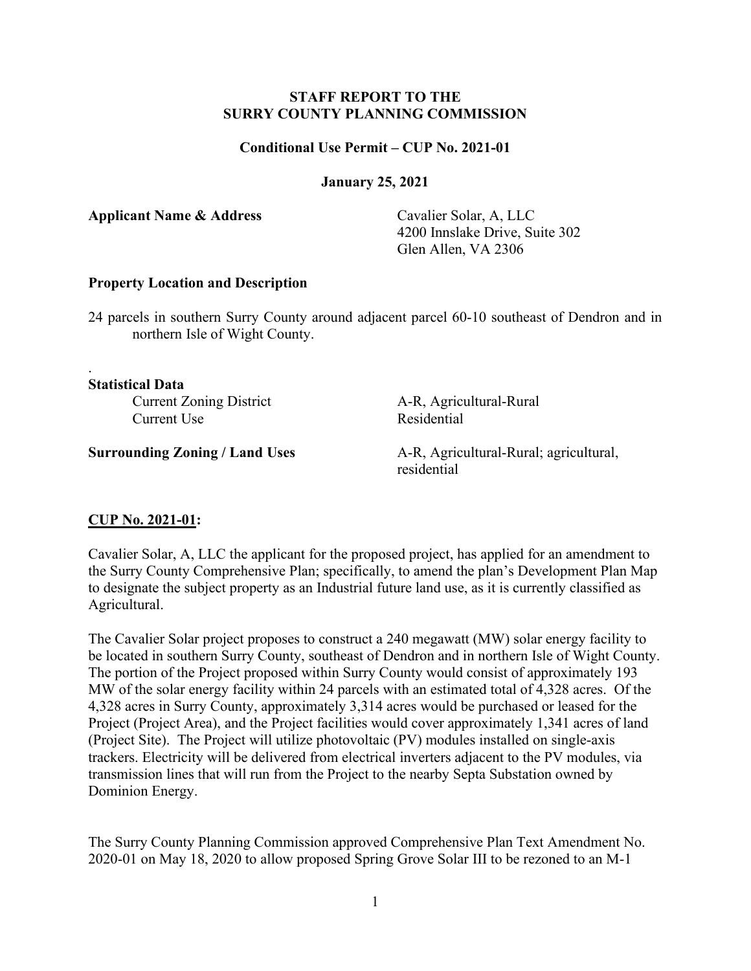#### **STAFF REPORT TO THE SURRY COUNTY PLANNING COMMISSION**

#### **Conditional Use Permit – CUP No. 2021-01**

**January 25, 2021**

**Applicant Name & Address** Cavalier Solar, A, LLC

4200 Innslake Drive, Suite 302 Glen Allen, VA 2306

#### **Property Location and Description**

24 parcels in southern Surry County around adjacent parcel 60-10 southeast of Dendron and in northern Isle of Wight County.

**Statistical Data**

.

Current Use Residential

Current Zoning District A-R, Agricultural-Rural

**Surrounding Zoning / Land Uses** A-R, Agricultural-Rural; agricultural, residential

#### **CUP No. 2021-01:**

Cavalier Solar, A, LLC the applicant for the proposed project, has applied for an amendment to the Surry County Comprehensive Plan; specifically, to amend the plan's Development Plan Map to designate the subject property as an Industrial future land use, as it is currently classified as Agricultural.

The Cavalier Solar project proposes to construct a 240 megawatt (MW) solar energy facility to be located in southern Surry County, southeast of Dendron and in northern Isle of Wight County. The portion of the Project proposed within Surry County would consist of approximately 193 MW of the solar energy facility within 24 parcels with an estimated total of 4,328 acres. Of the 4,328 acres in Surry County, approximately 3,314 acres would be purchased or leased for the Project (Project Area), and the Project facilities would cover approximately 1,341 acres of land (Project Site). The Project will utilize photovoltaic (PV) modules installed on single-axis trackers. Electricity will be delivered from electrical inverters adjacent to the PV modules, via transmission lines that will run from the Project to the nearby Septa Substation owned by Dominion Energy.

The Surry County Planning Commission approved Comprehensive Plan Text Amendment No. 2020-01 on May 18, 2020 to allow proposed Spring Grove Solar III to be rezoned to an M-1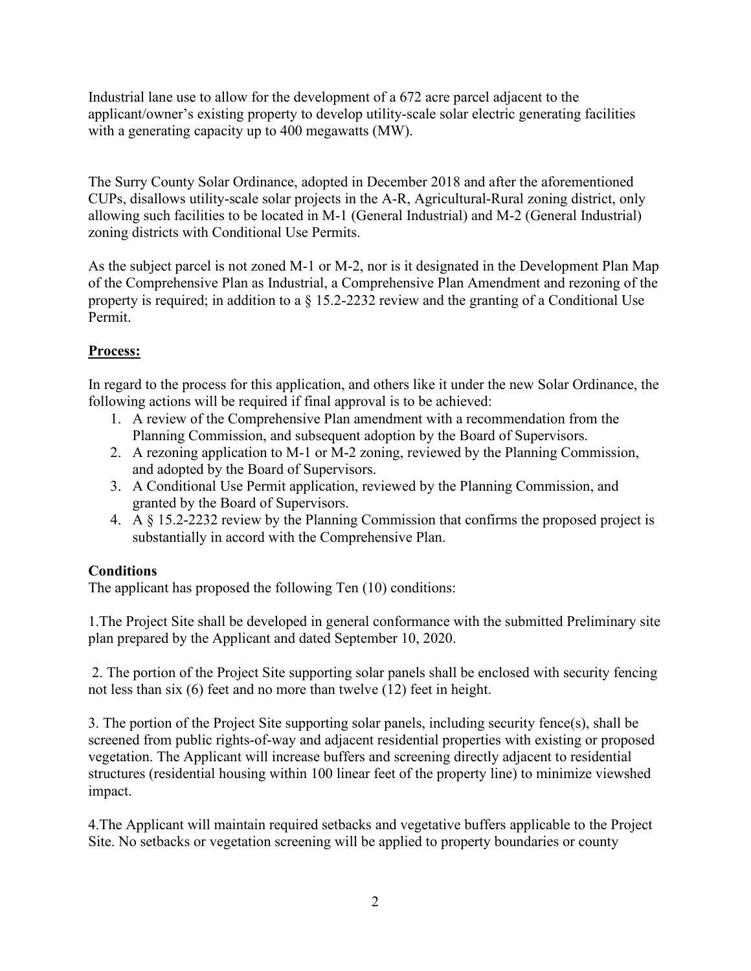Industrial lane use to allow for the development of a 672 acre parcel adjacent to the applicant/owner's existing property to develop utility-scale solar electric generating facilities with a generating capacity up to 400 megawatts (MW).

The Surry County Solar Ordinance, adopted in December 2018 and after the aforementioned CUPs, disallows utility-scale solar projects in the A-R, Agricultural-Rural zoning district, only allowing such facilities to be located in M-1 (General Industrial) and M-2 (General Industrial) zoning districts with Conditional Use Permits.

As the subject parcel is not zoned M-1 or M-2, nor is it designated in the Development Plan Map of the Comprehensive Plan as Industrial, a Comprehensive Plan Amendment and rezoning of the property is required; in addition to a § 15.2-2232 review and the granting of a Conditional Use Permit.

# **Process:**

In regard to the process for this application, and others like it under the new Solar Ordinance, the following actions will be required if final approval is to be achieved:

- 1. A review of the Comprehensive Plan amendment with a recommendation from the Planning Commission, and subsequent adoption by the Board of Supervisors.
- 2. A rezoning application to M-1 or M-2 zoning, reviewed by the Planning Commission, and adopted by the Board of Supervisors.
- 3. A Conditional Use Permit application, reviewed by the Planning Commission, and granted by the Board of Supervisors.
- 4. A § 15.2-2232 review by the Planning Commission that confirms the proposed project is substantially in accord with the Comprehensive Plan.

# **Conditions**

The applicant has proposed the following Ten (10) conditions:

1.The Project Site shall be developed in general conformance with the submitted Preliminary site plan prepared by the Applicant and dated September 10, 2020.

2. The portion of the Project Site supporting solar panels shall be enclosed with security fencing not less than six (6) feet and no more than twelve (12) feet in height.

3. The portion of the Project Site supporting solar panels, including security fence(s), shall be screened from public rights-of-way and adjacent residential properties with existing or proposed vegetation. The Applicant will increase buffers and screening directly adjacent to residential structures (residential housing within 100 linear feet of the property line) to minimize viewshed impact.

4.The Applicant will maintain required setbacks and vegetative buffers applicable to the Project Site. No setbacks or vegetation screening will be applied to property boundaries or county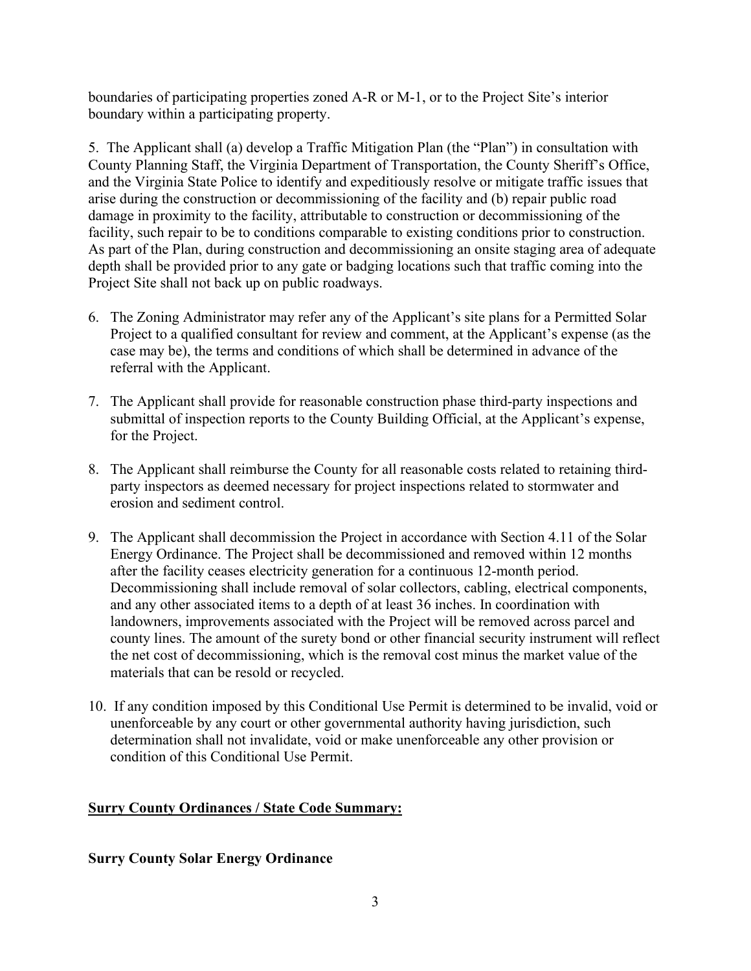boundaries of participating properties zoned A-R or M-1, or to the Project Site's interior boundary within a participating property.

5. The Applicant shall (a) develop a Traffic Mitigation Plan (the "Plan") in consultation with County Planning Staff, the Virginia Department of Transportation, the County Sheriff's Office, and the Virginia State Police to identify and expeditiously resolve or mitigate traffic issues that arise during the construction or decommissioning of the facility and (b) repair public road damage in proximity to the facility, attributable to construction or decommissioning of the facility, such repair to be to conditions comparable to existing conditions prior to construction. As part of the Plan, during construction and decommissioning an onsite staging area of adequate depth shall be provided prior to any gate or badging locations such that traffic coming into the Project Site shall not back up on public roadways.

- 6. The Zoning Administrator may refer any of the Applicant's site plans for a Permitted Solar Project to a qualified consultant for review and comment, at the Applicant's expense (as the case may be), the terms and conditions of which shall be determined in advance of the referral with the Applicant.
- 7. The Applicant shall provide for reasonable construction phase third-party inspections and submittal of inspection reports to the County Building Official, at the Applicant's expense, for the Project.
- 8. The Applicant shall reimburse the County for all reasonable costs related to retaining thirdparty inspectors as deemed necessary for project inspections related to stormwater and erosion and sediment control.
- 9. The Applicant shall decommission the Project in accordance with Section 4.11 of the Solar Energy Ordinance. The Project shall be decommissioned and removed within 12 months after the facility ceases electricity generation for a continuous 12-month period. Decommissioning shall include removal of solar collectors, cabling, electrical components, and any other associated items to a depth of at least 36 inches. In coordination with landowners, improvements associated with the Project will be removed across parcel and county lines. The amount of the surety bond or other financial security instrument will reflect the net cost of decommissioning, which is the removal cost minus the market value of the materials that can be resold or recycled.
- 10. If any condition imposed by this Conditional Use Permit is determined to be invalid, void or unenforceable by any court or other governmental authority having jurisdiction, such determination shall not invalidate, void or make unenforceable any other provision or condition of this Conditional Use Permit.

## **Surry County Ordinances / State Code Summary:**

#### **Surry County Solar Energy Ordinance**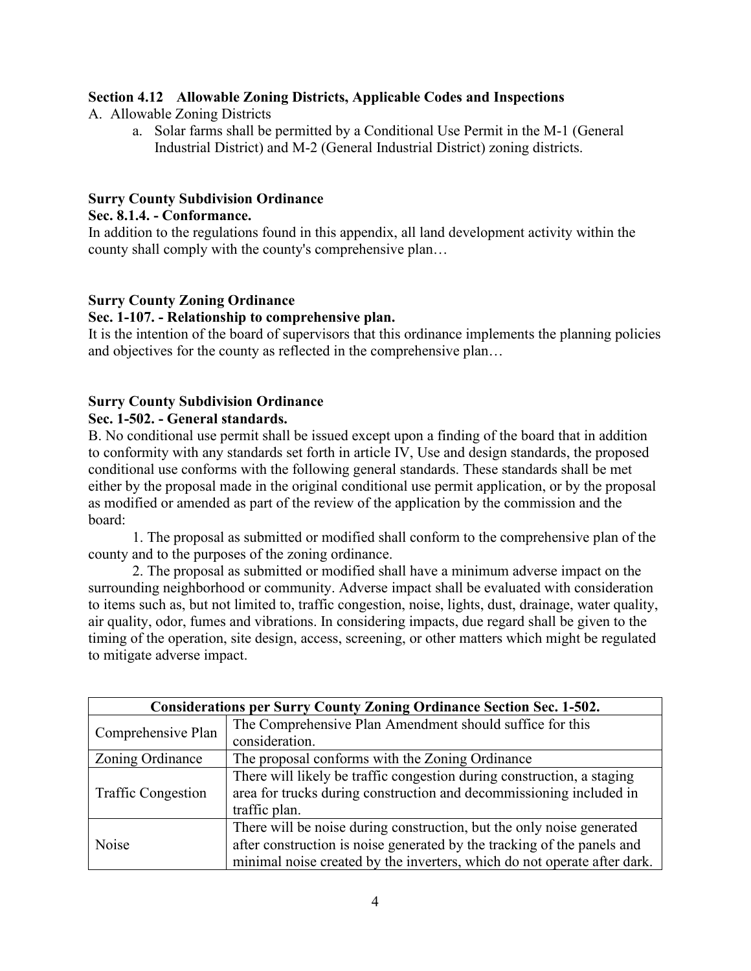## **Section 4.12 Allowable Zoning Districts, Applicable Codes and Inspections**

- A. Allowable Zoning Districts
	- a. Solar farms shall be permitted by a Conditional Use Permit in the M-1 (General Industrial District) and M-2 (General Industrial District) zoning districts.

#### **Surry County Subdivision Ordinance**

#### **Sec. 8.1.4. - Conformance.**

In addition to the regulations found in this appendix, all land development activity within the county shall comply with the county's comprehensive plan…

## **Surry County Zoning Ordinance**

#### **Sec. 1-107. - Relationship to comprehensive plan.**

It is the intention of the board of supervisors that this ordinance implements the planning policies and objectives for the county as reflected in the comprehensive plan…

## **Surry County Subdivision Ordinance**

#### **Sec. 1-502. - General standards.**

B. No conditional use permit shall be issued except upon a finding of the board that in addition to conformity with any standards set forth in article IV, Use and design standards, the proposed conditional use conforms with the following general standards. These standards shall be met either by the proposal made in the original conditional use permit application, or by the proposal as modified or amended as part of the review of the application by the commission and the board:

1. The proposal as submitted or modified shall conform to the comprehensive plan of the county and to the purposes of the zoning ordinance.

2. The proposal as submitted or modified shall have a minimum adverse impact on the surrounding neighborhood or community. Adverse impact shall be evaluated with consideration to items such as, but not limited to, traffic congestion, noise, lights, dust, drainage, water quality, air quality, odor, fumes and vibrations. In considering impacts, due regard shall be given to the timing of the operation, site design, access, screening, or other matters which might be regulated to mitigate adverse impact.

| <b>Considerations per Surry County Zoning Ordinance Section Sec. 1-502.</b> |                                                                          |  |  |
|-----------------------------------------------------------------------------|--------------------------------------------------------------------------|--|--|
| Comprehensive Plan                                                          | The Comprehensive Plan Amendment should suffice for this                 |  |  |
|                                                                             | consideration.                                                           |  |  |
| Zoning Ordinance                                                            | The proposal conforms with the Zoning Ordinance                          |  |  |
| <b>Traffic Congestion</b>                                                   | There will likely be traffic congestion during construction, a staging   |  |  |
|                                                                             | area for trucks during construction and decommissioning included in      |  |  |
|                                                                             | traffic plan.                                                            |  |  |
| Noise                                                                       | There will be noise during construction, but the only noise generated    |  |  |
|                                                                             | after construction is noise generated by the tracking of the panels and  |  |  |
|                                                                             | minimal noise created by the inverters, which do not operate after dark. |  |  |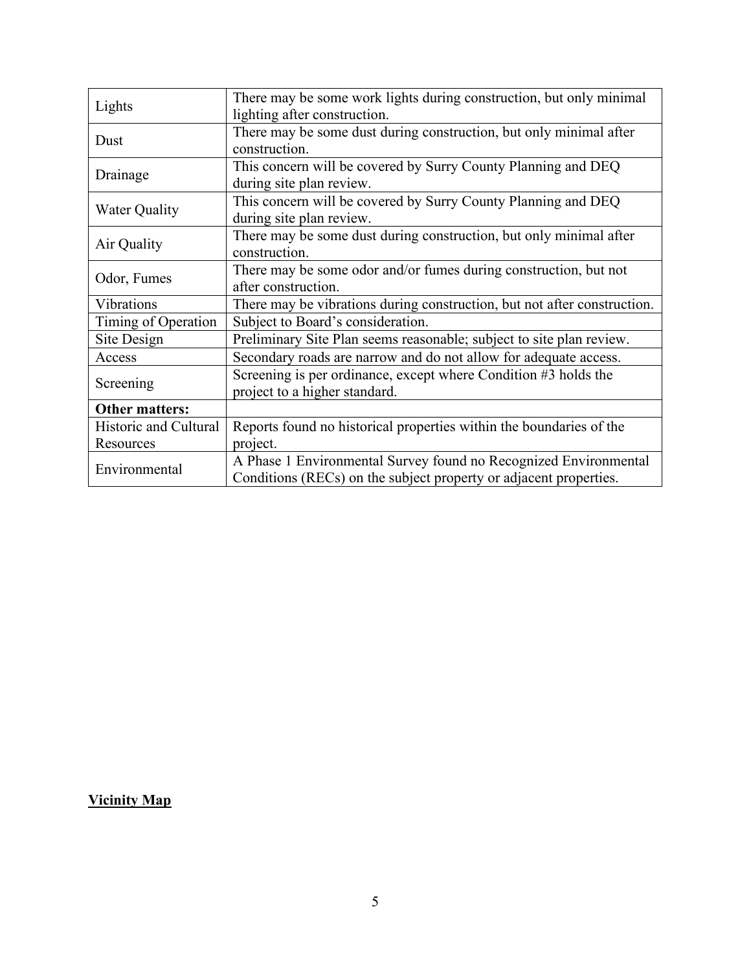| Lights                | There may be some work lights during construction, but only minimal      |
|-----------------------|--------------------------------------------------------------------------|
|                       | lighting after construction.                                             |
| Dust                  | There may be some dust during construction, but only minimal after       |
|                       | construction.                                                            |
| Drainage              | This concern will be covered by Surry County Planning and DEQ            |
|                       | during site plan review.                                                 |
| <b>Water Quality</b>  | This concern will be covered by Surry County Planning and DEQ            |
|                       | during site plan review.                                                 |
| Air Quality           | There may be some dust during construction, but only minimal after       |
|                       | construction.                                                            |
|                       | There may be some odor and/or fumes during construction, but not         |
| Odor, Fumes           | after construction.                                                      |
| Vibrations            | There may be vibrations during construction, but not after construction. |
| Timing of Operation   | Subject to Board's consideration.                                        |
| Site Design           | Preliminary Site Plan seems reasonable; subject to site plan review.     |
| Access                | Secondary roads are narrow and do not allow for adequate access.         |
| Screening             | Screening is per ordinance, except where Condition #3 holds the          |
|                       | project to a higher standard.                                            |
| <b>Other matters:</b> |                                                                          |
| Historic and Cultural | Reports found no historical properties within the boundaries of the      |
| Resources             | project.                                                                 |
| Environmental         | A Phase 1 Environmental Survey found no Recognized Environmental         |
|                       | Conditions (RECs) on the subject property or adjacent properties.        |

# **Vicinity Map**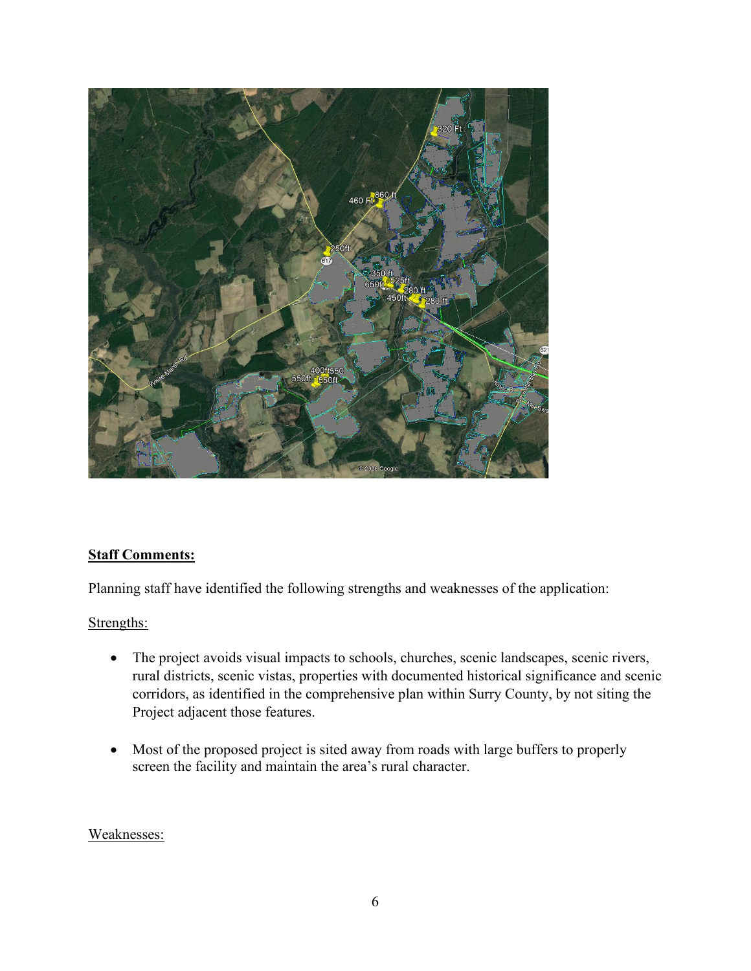

# **Staff Comments:**

Planning staff have identified the following strengths and weaknesses of the application:

## Strengths:

- The project avoids visual impacts to schools, churches, scenic landscapes, scenic rivers, rural districts, scenic vistas, properties with documented historical significance and scenic corridors, as identified in the comprehensive plan within Surry County, by not siting the Project adjacent those features.
- Most of the proposed project is sited away from roads with large buffers to properly screen the facility and maintain the area's rural character.

#### Weaknesses: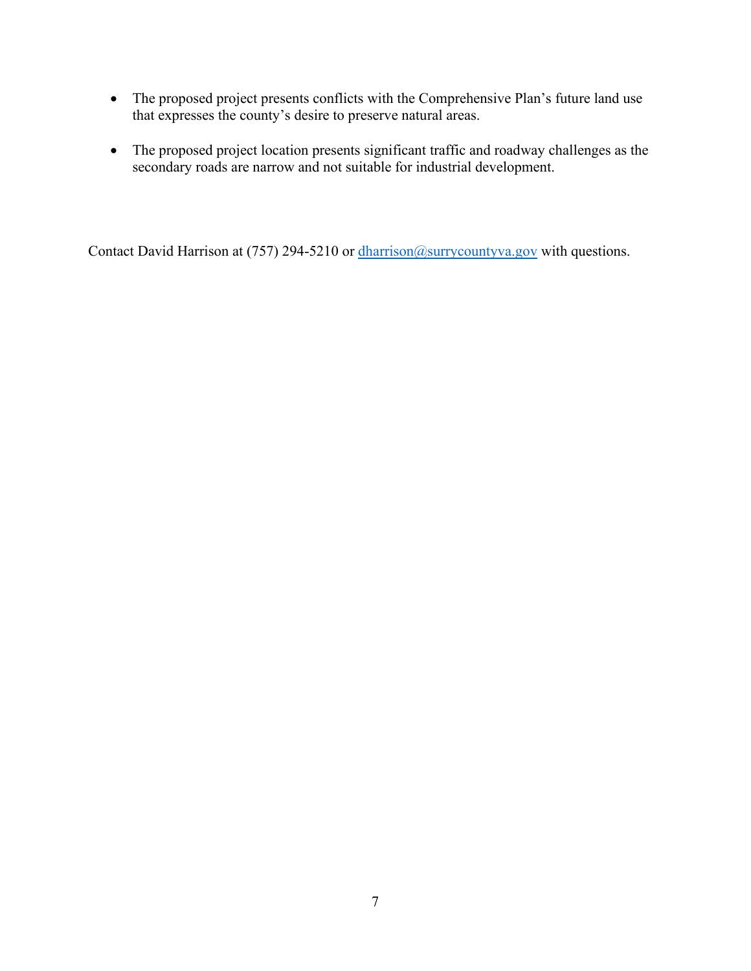- The proposed project presents conflicts with the Comprehensive Plan's future land use that expresses the county's desire to preserve natural areas.
- The proposed project location presents significant traffic and roadway challenges as the secondary roads are narrow and not suitable for industrial development.

Contact David Harrison at (757) 294-5210 or [dharrison@surrycountyva.gov](mailto:dharrison@surrycountyva.gov) with questions.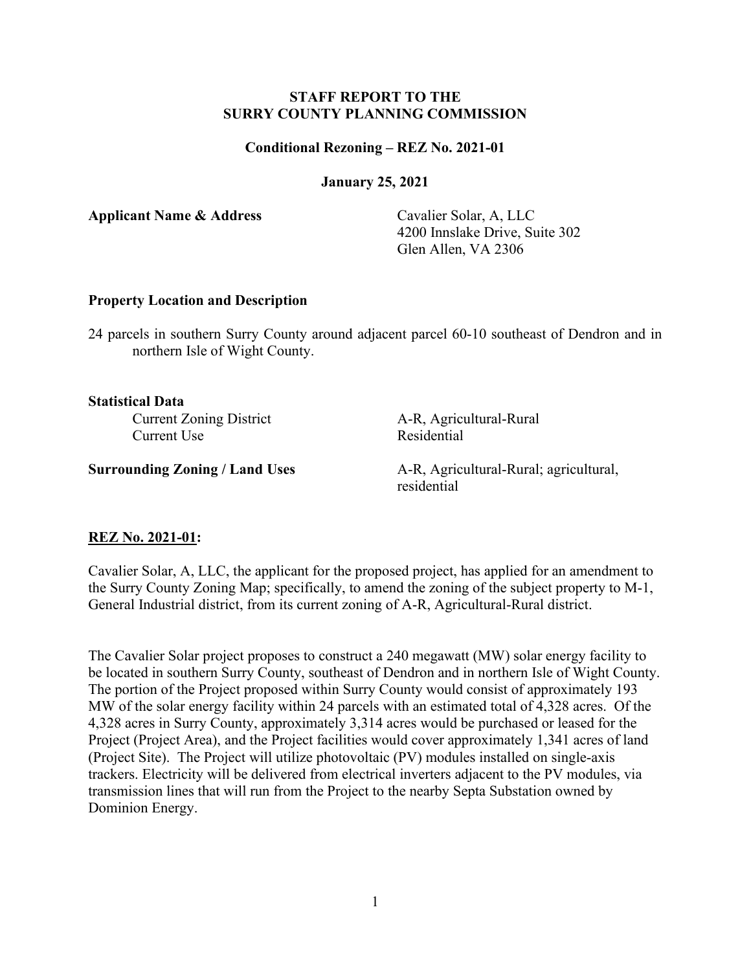#### **STAFF REPORT TO THE SURRY COUNTY PLANNING COMMISSION**

#### **Conditional Rezoning – REZ No. 2021-01**

**January 25, 2021**

**Applicant Name & Address** Cavalier Solar, A, LLC

4200 Innslake Drive, Suite 302 Glen Allen, VA 2306

#### **Property Location and Description**

24 parcels in southern Surry County around adjacent parcel 60-10 southeast of Dendron and in northern Isle of Wight County.

#### **Statistical Data**

Current Zoning District A-R, Agricultural-Rural Current Use Residential

**Surrounding Zoning / Land Uses** A-R, Agricultural-Rural; agricultural, residential

#### **REZ No. 2021-01:**

Cavalier Solar, A, LLC, the applicant for the proposed project, has applied for an amendment to the Surry County Zoning Map; specifically, to amend the zoning of the subject property to M-1, General Industrial district, from its current zoning of A-R, Agricultural-Rural district.

The Cavalier Solar project proposes to construct a 240 megawatt (MW) solar energy facility to be located in southern Surry County, southeast of Dendron and in northern Isle of Wight County. The portion of the Project proposed within Surry County would consist of approximately 193 MW of the solar energy facility within 24 parcels with an estimated total of 4,328 acres. Of the 4,328 acres in Surry County, approximately 3,314 acres would be purchased or leased for the Project (Project Area), and the Project facilities would cover approximately 1,341 acres of land (Project Site). The Project will utilize photovoltaic (PV) modules installed on single-axis trackers. Electricity will be delivered from electrical inverters adjacent to the PV modules, via transmission lines that will run from the Project to the nearby Septa Substation owned by Dominion Energy.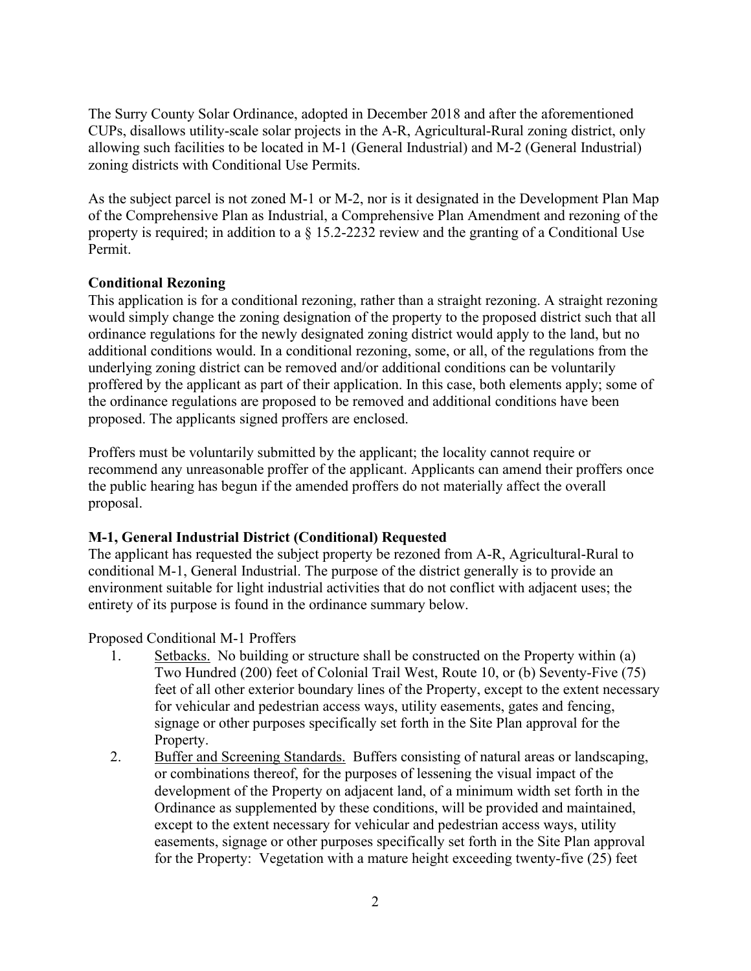The Surry County Solar Ordinance, adopted in December 2018 and after the aforementioned CUPs, disallows utility-scale solar projects in the A-R, Agricultural-Rural zoning district, only allowing such facilities to be located in M-1 (General Industrial) and M-2 (General Industrial) zoning districts with Conditional Use Permits.

As the subject parcel is not zoned M-1 or M-2, nor is it designated in the Development Plan Map of the Comprehensive Plan as Industrial, a Comprehensive Plan Amendment and rezoning of the property is required; in addition to a § 15.2-2232 review and the granting of a Conditional Use Permit.

#### **Conditional Rezoning**

This application is for a conditional rezoning, rather than a straight rezoning. A straight rezoning would simply change the zoning designation of the property to the proposed district such that all ordinance regulations for the newly designated zoning district would apply to the land, but no additional conditions would. In a conditional rezoning, some, or all, of the regulations from the underlying zoning district can be removed and/or additional conditions can be voluntarily proffered by the applicant as part of their application. In this case, both elements apply; some of the ordinance regulations are proposed to be removed and additional conditions have been proposed. The applicants signed proffers are enclosed.

Proffers must be voluntarily submitted by the applicant; the locality cannot require or recommend any unreasonable proffer of the applicant. Applicants can amend their proffers once the public hearing has begun if the amended proffers do not materially affect the overall proposal.

#### **M-1, General Industrial District (Conditional) Requested**

The applicant has requested the subject property be rezoned from A-R, Agricultural-Rural to conditional M-1, General Industrial. The purpose of the district generally is to provide an environment suitable for light industrial activities that do not conflict with adjacent uses; the entirety of its purpose is found in the ordinance summary below.

Proposed Conditional M-1 Proffers

- 1. Setbacks. No building or structure shall be constructed on the Property within (a) Two Hundred (200) feet of Colonial Trail West, Route 10, or (b) Seventy-Five (75) feet of all other exterior boundary lines of the Property, except to the extent necessary for vehicular and pedestrian access ways, utility easements, gates and fencing, signage or other purposes specifically set forth in the Site Plan approval for the Property.
- 2. Buffer and Screening Standards. Buffers consisting of natural areas or landscaping, or combinations thereof, for the purposes of lessening the visual impact of the development of the Property on adjacent land, of a minimum width set forth in the Ordinance as supplemented by these conditions, will be provided and maintained, except to the extent necessary for vehicular and pedestrian access ways, utility easements, signage or other purposes specifically set forth in the Site Plan approval for the Property: Vegetation with a mature height exceeding twenty-five (25) feet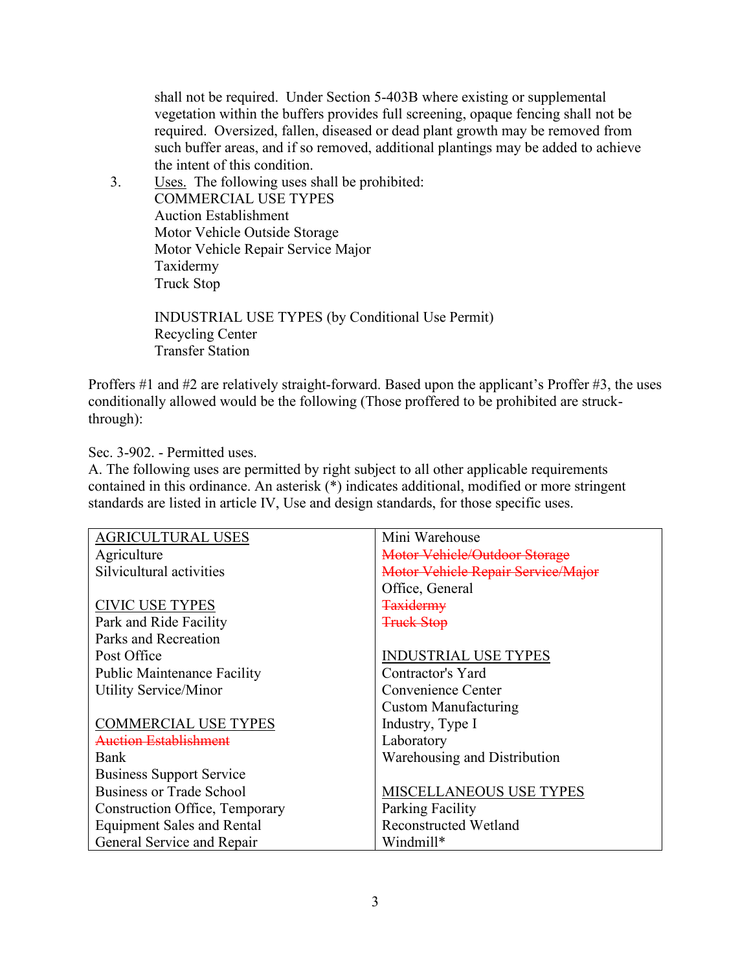shall not be required. Under Section 5-403B where existing or supplemental vegetation within the buffers provides full screening, opaque fencing shall not be required. Oversized, fallen, diseased or dead plant growth may be removed from such buffer areas, and if so removed, additional plantings may be added to achieve the intent of this condition.

3. Uses. The following uses shall be prohibited: COMMERCIAL USE TYPES Auction Establishment Motor Vehicle Outside Storage Motor Vehicle Repair Service Major Taxidermy Truck Stop

> INDUSTRIAL USE TYPES (by Conditional Use Permit) Recycling Center Transfer Station

Proffers #1 and #2 are relatively straight-forward. Based upon the applicant's Proffer #3, the uses conditionally allowed would be the following (Those proffered to be prohibited are struckthrough):

#### Sec. 3-902. - Permitted uses.

A. The following uses are permitted by right subject to all other applicable requirements contained in this ordinance. An asterisk (\*) indicates additional, modified or more stringent standards are listed in article IV, Use and design standards, for those specific uses.

| <b>AGRICULTURAL USES</b>           | Mini Warehouse                       |
|------------------------------------|--------------------------------------|
| Agriculture                        | <b>Motor Vehicle/Outdoor Storage</b> |
| Silvicultural activities           | Motor Vehicle Repair Service/Major   |
|                                    | Office, General                      |
| <b>CIVIC USE TYPES</b>             | <b>Taxidermy</b>                     |
| Park and Ride Facility             | <b>Truck Stop</b>                    |
| Parks and Recreation               |                                      |
| Post Office                        | <b>INDUSTRIAL USE TYPES</b>          |
| <b>Public Maintenance Facility</b> | Contractor's Yard                    |
| <b>Utility Service/Minor</b>       | Convenience Center                   |
|                                    | Custom Manufacturing                 |
| <b>COMMERCIAL USE TYPES</b>        | Industry, Type I                     |
| Auction Establishment              | Laboratory                           |
| Bank                               | Warehousing and Distribution         |
| <b>Business Support Service</b>    |                                      |
| Business or Trade School           | <b>MISCELLANEOUS USE TYPES</b>       |
| Construction Office, Temporary     | <b>Parking Facility</b>              |
| <b>Equipment Sales and Rental</b>  | <b>Reconstructed Wetland</b>         |
| General Service and Repair         | Windmill*                            |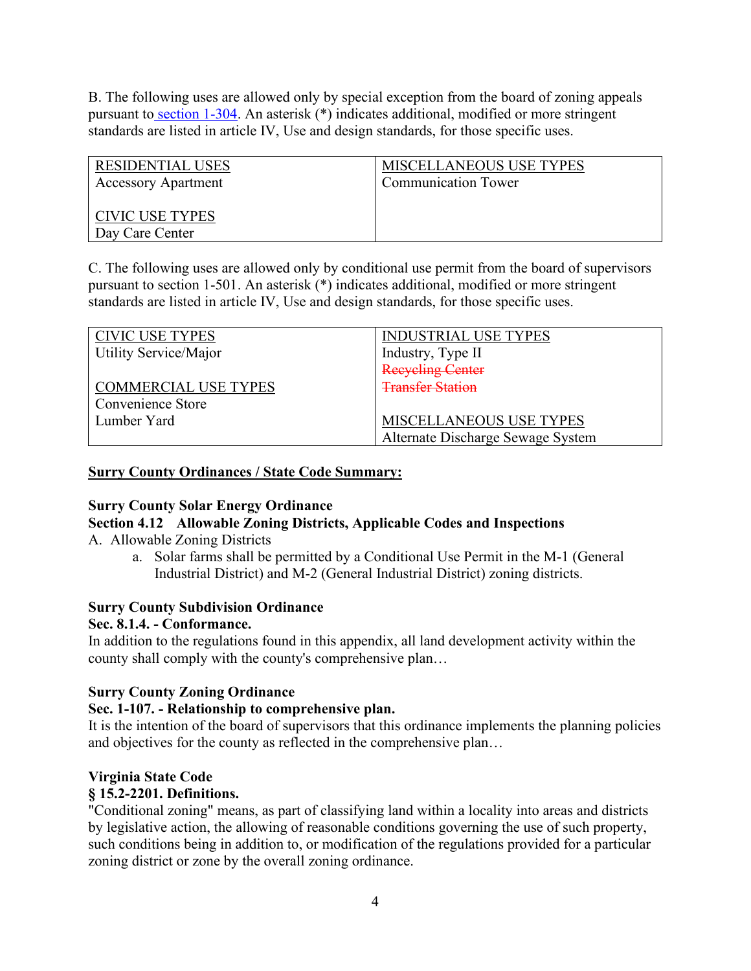B. The following uses are allowed only by special exception from the board of zoning appeals pursuant to [section 1-304.](https://library.municode.com/va/surry_county/codes/code_of_ordinances?nodeId=PTIILADEOR_APXAZO_ARTIGEPR_1-300BOZOAP_S1-304SPEX) An asterisk (\*) indicates additional, modified or more stringent standards are listed in article IV, Use and design standards, for those specific uses.

| RESIDENTIAL USES           | <b>MISCELLANEOUS USE TYPES</b> |
|----------------------------|--------------------------------|
| <b>Accessory Apartment</b> | <b>Communication Tower</b>     |
|                            |                                |
| CIVIC USE TYPES            |                                |
| Day Care Center            |                                |

C. The following uses are allowed only by conditional use permit from the board of supervisors pursuant to section 1-501. An asterisk (\*) indicates additional, modified or more stringent standards are listed in article IV, Use and design standards, for those specific uses.

| <b>CIVIC USE TYPES</b>       | <b>INDUSTRIAL USE TYPES</b>       |
|------------------------------|-----------------------------------|
| <b>Utility Service/Major</b> | Industry, Type II                 |
|                              | <b>Recycling Center</b>           |
| <b>COMMERCIAL USE TYPES</b>  | <b>Transfer Station</b>           |
| Convenience Store            |                                   |
| Lumber Yard                  | <b>MISCELLANEOUS USE TYPES</b>    |
|                              | Alternate Discharge Sewage System |

#### **Surry County Ordinances / State Code Summary:**

## **Surry County Solar Energy Ordinance**

**Section 4.12 Allowable Zoning Districts, Applicable Codes and Inspections** 

A. Allowable Zoning Districts

a. Solar farms shall be permitted by a Conditional Use Permit in the M-1 (General Industrial District) and M-2 (General Industrial District) zoning districts.

## **Surry County Subdivision Ordinance**

## **Sec. 8.1.4. - Conformance.**

In addition to the regulations found in this appendix, all land development activity within the county shall comply with the county's comprehensive plan…

## **Surry County Zoning Ordinance**

## **Sec. 1-107. - Relationship to comprehensive plan.**

It is the intention of the board of supervisors that this ordinance implements the planning policies and objectives for the county as reflected in the comprehensive plan…

## **Virginia State Code**

## **§ 15.2-2201. Definitions.**

"Conditional zoning" means, as part of classifying land within a locality into areas and districts by legislative action, the allowing of reasonable conditions governing the use of such property, such conditions being in addition to, or modification of the regulations provided for a particular zoning district or zone by the overall zoning ordinance.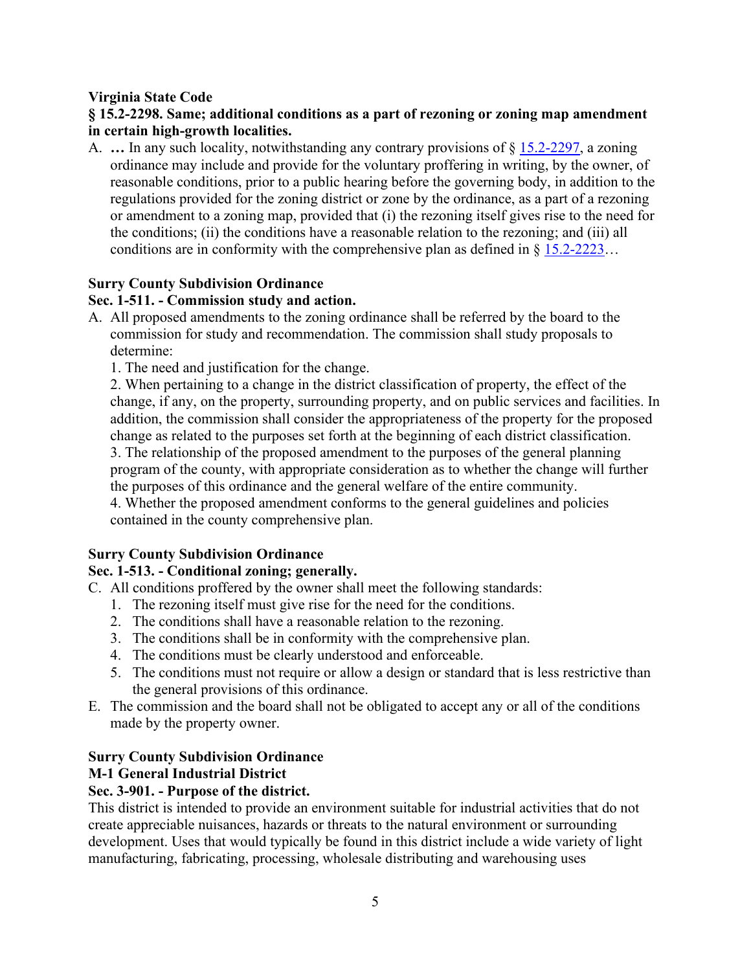## **Virginia State Code**

## **§ 15.2-2298. Same; additional conditions as a part of rezoning or zoning map amendment in certain high-growth localities.**

A. **…** In any such locality, notwithstanding any contrary provisions of § [15.2-2297,](https://law.lis.virginia.gov/vacode/15.2-2297/) a zoning ordinance may include and provide for the voluntary proffering in writing, by the owner, of reasonable conditions, prior to a public hearing before the governing body, in addition to the regulations provided for the zoning district or zone by the ordinance, as a part of a rezoning or amendment to a zoning map, provided that (i) the rezoning itself gives rise to the need for the conditions; (ii) the conditions have a reasonable relation to the rezoning; and (iii) all conditions are in conformity with the comprehensive plan as defined in  $\S 15.2-2223...$ 

#### **Surry County Subdivision Ordinance**

#### **Sec. 1-511. - Commission study and action.**

- A. All proposed amendments to the zoning ordinance shall be referred by the board to the commission for study and recommendation. The commission shall study proposals to determine:
	- 1. The need and justification for the change.

2. When pertaining to a change in the district classification of property, the effect of the change, if any, on the property, surrounding property, and on public services and facilities. In addition, the commission shall consider the appropriateness of the property for the proposed change as related to the purposes set forth at the beginning of each district classification. 3. The relationship of the proposed amendment to the purposes of the general planning program of the county, with appropriate consideration as to whether the change will further the purposes of this ordinance and the general welfare of the entire community. 4. Whether the proposed amendment conforms to the general guidelines and policies

contained in the county comprehensive plan.

## **Surry County Subdivision Ordinance**

## **Sec. 1-513. - Conditional zoning; generally.**

- C. All conditions proffered by the owner shall meet the following standards:
	- 1. The rezoning itself must give rise for the need for the conditions.
	- 2. The conditions shall have a reasonable relation to the rezoning.
	- 3. The conditions shall be in conformity with the comprehensive plan.
	- 4. The conditions must be clearly understood and enforceable.
	- 5. The conditions must not require or allow a design or standard that is less restrictive than the general provisions of this ordinance.
- E. The commission and the board shall not be obligated to accept any or all of the conditions made by the property owner.

#### **Surry County Subdivision Ordinance**

## **M-1 General Industrial District**

## **Sec. 3-901. - Purpose of the district.**

This district is intended to provide an environment suitable for industrial activities that do not create appreciable nuisances, hazards or threats to the natural environment or surrounding development. Uses that would typically be found in this district include a wide variety of light manufacturing, fabricating, processing, wholesale distributing and warehousing uses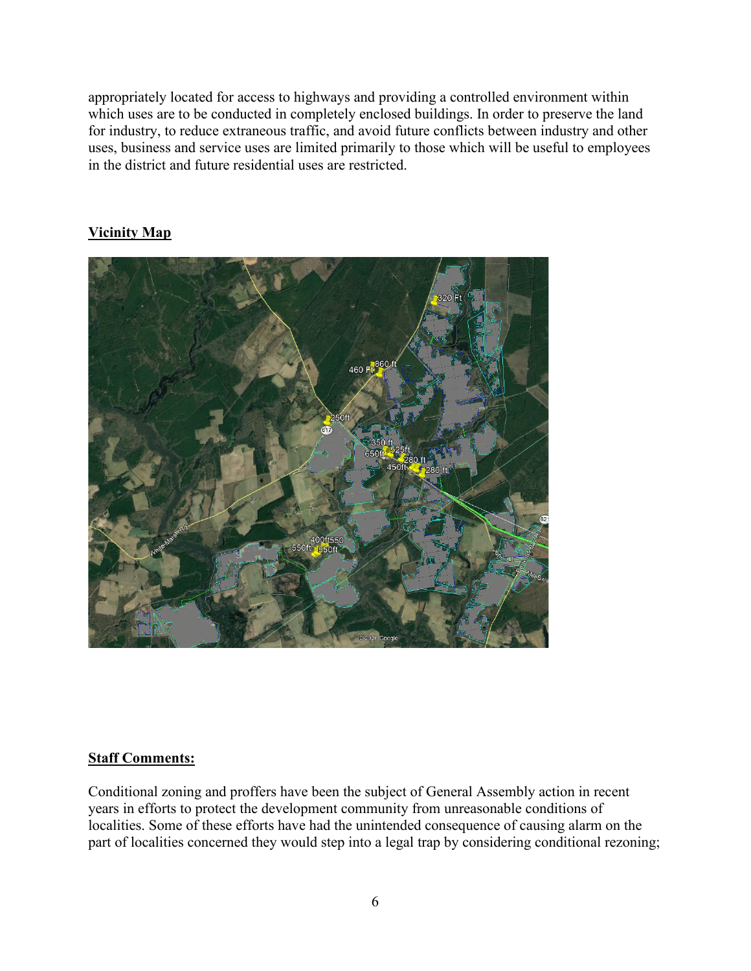appropriately located for access to highways and providing a controlled environment within which uses are to be conducted in completely enclosed buildings. In order to preserve the land for industry, to reduce extraneous traffic, and avoid future conflicts between industry and other uses, business and service uses are limited primarily to those which will be useful to employees in the district and future residential uses are restricted.

## **Vicinity Map**



#### **Staff Comments:**

Conditional zoning and proffers have been the subject of General Assembly action in recent years in efforts to protect the development community from unreasonable conditions of localities. Some of these efforts have had the unintended consequence of causing alarm on the part of localities concerned they would step into a legal trap by considering conditional rezoning;